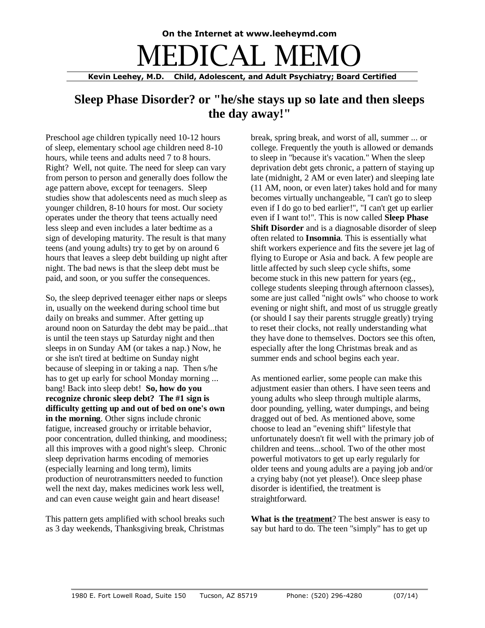## **On the Internet at www.leeheymd.com** EDICAL M

**Kevin Leehey, M.D. Child, Adolescent, and Adult Psychiatry; Board Certified**

## **Sleep Phase Disorder? or "he/she stays up so late and then sleeps the day away!"**

Preschool age children typically need 10-12 hours of sleep, elementary school age children need 8-10 hours, while teens and adults need 7 to 8 hours. Right? Well, not quite. The need for sleep can vary from person to person and generally does follow the age pattern above, except for teenagers. Sleep studies show that adolescents need as much sleep as younger children, 8-10 hours for most. Our society operates under the theory that teens actually need less sleep and even includes a later bedtime as a sign of developing maturity. The result is that many teens (and young adults) try to get by on around 6 hours that leaves a sleep debt building up night after night. The bad news is that the sleep debt must be paid, and soon, or you suffer the consequences.

So, the sleep deprived teenager either naps or sleeps in, usually on the weekend during school time but daily on breaks and summer. After getting up around noon on Saturday the debt may be paid...that is until the teen stays up Saturday night and then sleeps in on Sunday AM (or takes a nap.) Now, he or she isn't tired at bedtime on Sunday night because of sleeping in or taking a nap. Then s/he has to get up early for school Monday morning ... bang! Back into sleep debt! **So, how do you recognize chronic sleep debt? The #1 sign is difficulty getting up and out of bed on one's own in the morning**. Other signs include chronic fatigue, increased grouchy or irritable behavior, poor concentration, dulled thinking, and moodiness; all this improves with a good night's sleep. Chronic sleep deprivation harms encoding of memories (especially learning and long term), limits production of neurotransmitters needed to function well the next day, makes medicines work less well, and can even cause weight gain and heart disease!

This pattern gets amplified with school breaks such as 3 day weekends, Thanksgiving break, Christmas break, spring break, and worst of all, summer ... or college. Frequently the youth is allowed or demands to sleep in "because it's vacation." When the sleep deprivation debt gets chronic, a pattern of staying up late (midnight, 2 AM or even later) and sleeping late (11 AM, noon, or even later) takes hold and for many becomes virtually unchangeable, "I can't go to sleep even if I do go to bed earlier!", "I can't get up earlier even if I want to!". This is now called **Sleep Phase Shift Disorder** and is a diagnosable disorder of sleep often related to **Insomnia**. This is essentially what shift workers experience and fits the severe jet lag of flying to Europe or Asia and back. A few people are little affected by such sleep cycle shifts, some become stuck in this new pattern for years (eg., college students sleeping through afternoon classes), some are just called "night owls" who choose to work evening or night shift, and most of us struggle greatly (or should I say their parents struggle greatly) trying to reset their clocks, not really understanding what they have done to themselves. Doctors see this often, especially after the long Christmas break and as summer ends and school begins each year.

As mentioned earlier, some people can make this adjustment easier than others. I have seen teens and young adults who sleep through multiple alarms, door pounding, yelling, water dumpings, and being dragged out of bed. As mentioned above, some choose to lead an "evening shift" lifestyle that unfortunately doesn't fit well with the primary job of children and teens...school. Two of the other most powerful motivators to get up early regularly for older teens and young adults are a paying job and/or a crying baby (not yet please!). Once sleep phase disorder is identified, the treatment is straightforward.

**What is the treatment**? The best answer is easy to say but hard to do. The teen "simply" has to get up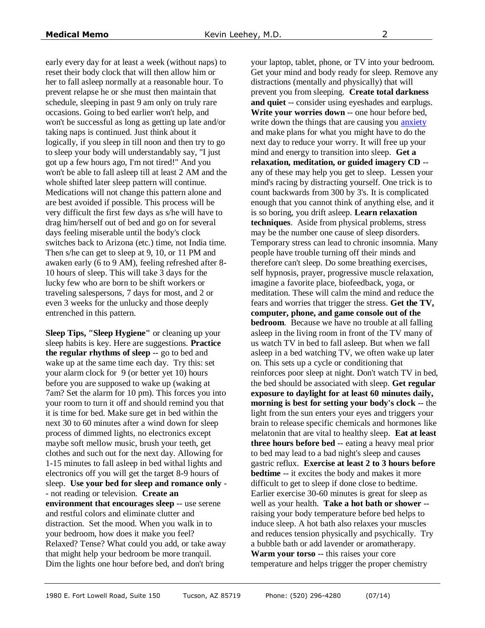early every day for at least a week (without naps) to reset their body clock that will then allow him or her to fall asleep normally at a reasonable hour. To prevent relapse he or she must then maintain that schedule, sleeping in past 9 am only on truly rare occasions. Going to bed earlier won't help, and won't be successful as long as getting up late and/or taking naps is continued. Just think about it logically, if you sleep in till noon and then try to go to sleep your body will understandably say, "I just got up a few hours ago, I'm not tired!" And you won't be able to fall asleep till at least 2 AM and the whole shifted later sleep pattern will continue. Medications will not change this pattern alone and are best avoided if possible. This process will be very difficult the first few days as s/he will have to drag him/herself out of bed and go on for several days feeling miserable until the body's clock switches back to Arizona (etc.) time, not India time. Then s/he can get to sleep at 9, 10, or 11 PM and awaken early (6 to 9 AM), feeling refreshed after 8- 10 hours of sleep. This will take 3 days for the lucky few who are born to be shift workers or traveling salespersons, 7 days for most, and 2 or even 3 weeks for the unlucky and those deeply entrenched in this pattern.

**Sleep Tips, "Sleep Hygiene"** or cleaning up your sleep habits is key. Here are suggestions. **Practice the regular rhythms of sleep** -- go to bed and wake up at the same time each day. Try this: set your alarm clock for 9 (or better yet 10) hours before you are supposed to wake up (waking at 7am? Set the alarm for 10 pm). This forces you into your room to turn it off and should remind you that it is time for bed. Make sure get in bed within the next 30 to 60 minutes after a wind down for sleep process of dimmed lights, no electronics except maybe soft mellow music, brush your teeth, get clothes and such out for the next day. Allowing for 1-15 minutes to fall asleep in bed withal lights and electronics off you will get the target 8-9 hours of sleep. **Use your bed for sleep and romance only** - - not reading or television. **Create an environment that encourages sleep** -- use serene and restful colors and eliminate clutter and distraction. Set the mood. When you walk in to your bedroom, how does it make you feel? Relaxed? Tense? What could you add, or take away that might help your bedroom be more tranquil. Dim the lights one hour before bed, and don't bring

your laptop, tablet, phone, or TV into your bedroom. Get your mind and body ready for sleep. Remove any distractions (mentally and physically) that will prevent you from sleeping. **Create total darkness and quiet** -- consider using eyeshades and earplugs. **Write your worries down** -- one hour before bed, write down the things that are causing you **anxiety** and make plans for what you might have to do the next day to reduce your worry. It will free up your mind and energy to transition into sleep. **Get a relaxation, meditation, or guided imagery CD** - any of these may help you get to sleep. Lessen your mind's racing by distracting yourself. One trick is to count backwards from 300 by 3's. It is complicated enough that you cannot think of anything else, and it is so boring, you drift asleep. **Learn relaxation techniques**. Aside from physical problems, stress may be the number one cause of sleep disorders. Temporary stress can lead to chronic insomnia. Many people have trouble turning off their minds and therefore can't sleep. Do some breathing exercises, self hypnosis, prayer, progressive muscle relaxation, imagine a favorite place, biofeedback, yoga, or meditation. These will calm the mind and reduce the fears and worries that trigger the stress. **Get the TV, computer, phone, and game console out of the bedroom**. Because we have no trouble at all falling asleep in the living room in front of the TV many of us watch TV in bed to fall asleep. But when we fall asleep in a bed watching TV, we often wake up later on. This sets up a cycle or conditioning that reinforces poor sleep at night. Don't watch TV in bed, the bed should be associated with sleep. **Get regular exposure to daylight for at least 60 minutes daily, morning is best for setting your body's clock** -- the light from the sun enters your eyes and triggers your brain to release specific chemicals and hormones like melatonin that are vital to healthy sleep. **Eat at least three hours before bed** -- eating a heavy meal prior to bed may lead to a bad night's sleep and causes gastric reflux. **Exercise at least 2 to 3 hours before bedtime** -- it excites the body and makes it more difficult to get to sleep if done close to bedtime. Earlier exercise 30-60 minutes is great for sleep as well as your health. **Take a hot bath or shower** - raising your body temperature before bed helps to induce sleep. A hot bath also relaxes your muscles and reduces tension physically and psychically. Try a bubble bath or add lavender or aromatherapy. **Warm your torso** -- this raises your core temperature and helps trigger the proper chemistry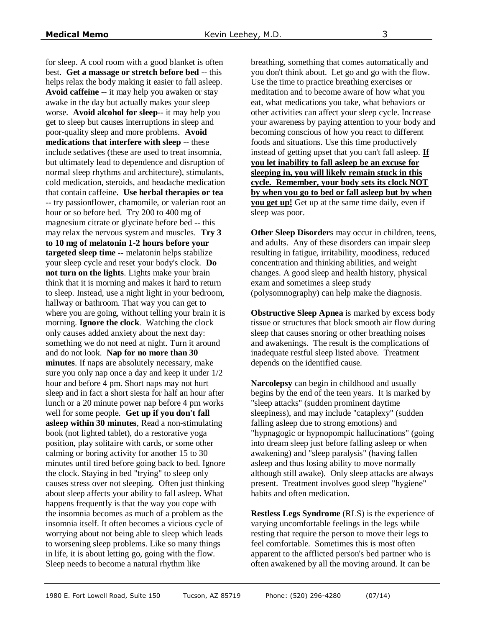for sleep. A cool room with a good blanket is often best. **Get a massage or stretch before bed** -- this helps relax the body making it easier to fall asleep. **Avoid caffeine** -- it may help you awaken or stay awake in the day but actually makes your sleep worse. **Avoid alcohol for sleep**-- it may help you get to sleep but causes interruptions in sleep and poor-quality sleep and more problems. **Avoid medications that interfere with sleep** -- these include sedatives (these are used to treat insomnia, but ultimately lead to dependence and disruption of normal sleep rhythms and architecture), stimulants, cold medication, steroids, and headache medication that contain caffeine. **Use herbal therapies or tea** -- try passionflower, chamomile, or valerian root an hour or so before bed. Try 200 to 400 mg of magnesium citrate or glycinate before bed -- this may relax the nervous system and muscles. **Try 3 to 10 mg of melatonin 1-2 hours before your targeted sleep time** -- melatonin helps stabilize your sleep cycle and reset your body's clock. **Do not turn on the lights**. Lights make your brain think that it is morning and makes it hard to return to sleep. Instead, use a night light in your bedroom, hallway or bathroom. That way you can get to where you are going, without telling your brain it is morning. **Ignore the clock**. Watching the clock only causes added anxiety about the next day: something we do not need at night. Turn it around and do not look. **Nap for no more than 30 minutes**. If naps are absolutely necessary, make sure you only nap once a day and keep it under 1/2 hour and before 4 pm. Short naps may not hurt sleep and in fact a short siesta for half an hour after lunch or a 20 minute power nap before 4 pm works well for some people. **Get up if you don't fall asleep within 30 minutes**, Read a non-stimulating book (not lighted tablet), do a restorative yoga position, play solitaire with cards, or some other calming or boring activity for another 15 to 30 minutes until tired before going back to bed. Ignore the clock. Staying in bed "trying" to sleep only causes stress over not sleeping. Often just thinking about sleep affects your ability to fall asleep. What happens frequently is that the way you cope with the insomnia becomes as much of a problem as the insomnia itself. It often becomes a vicious cycle of worrying about not being able to sleep which leads to worsening sleep problems. Like so many things in life, it is about letting go, going with the flow. Sleep needs to become a natural rhythm like

breathing, something that comes automatically and you don't think about. Let go and go with the flow. Use the time to practice breathing exercises or meditation and to become aware of how what you eat, what medications you take, what behaviors or other activities can affect your sleep cycle. Increase your awareness by paying attention to your body and becoming conscious of how you react to different foods and situations. Use this time productively instead of getting upset that you can't fall asleep. **If you let inability to fall asleep be an excuse for sleeping in, you will likely remain stuck in this cycle. Remember, your body sets its clock NOT by when you go to bed or fall asleep but by when you get up!** Get up at the same time daily, even if sleep was poor.

**Other Sleep Disorder**s may occur in children, teens, and adults. Any of these disorders can impair sleep resulting in fatigue, irritability, moodiness, reduced concentration and thinking abilities, and weight changes. A good sleep and health history, physical exam and sometimes a sleep study (polysomnography) can help make the diagnosis.

**Obstructive Sleep Apnea** is marked by excess body tissue or structures that block smooth air flow during sleep that causes snoring or other breathing noises and awakenings. The result is the complications of inadequate restful sleep listed above. Treatment depends on the identified cause.

**Narcolepsy** can begin in childhood and usually begins by the end of the teen years. It is marked by "sleep attacks" (sudden prominent daytime sleepiness), and may include "cataplexy" (sudden falling asleep due to strong emotions) and "hypnagogic or hypnopompic hallucinations" (going into dream sleep just before falling asleep or when awakening) and "sleep paralysis" (having fallen asleep and thus losing ability to move normally although still awake). Only sleep attacks are always present. Treatment involves good sleep "hygiene" habits and often medication.

**Restless Legs Syndrome** (RLS) is the experience of varying uncomfortable feelings in the legs while resting that require the person to move their legs to feel comfortable. Sometimes this is most often apparent to the afflicted person's bed partner who is often awakened by all the moving around. It can be